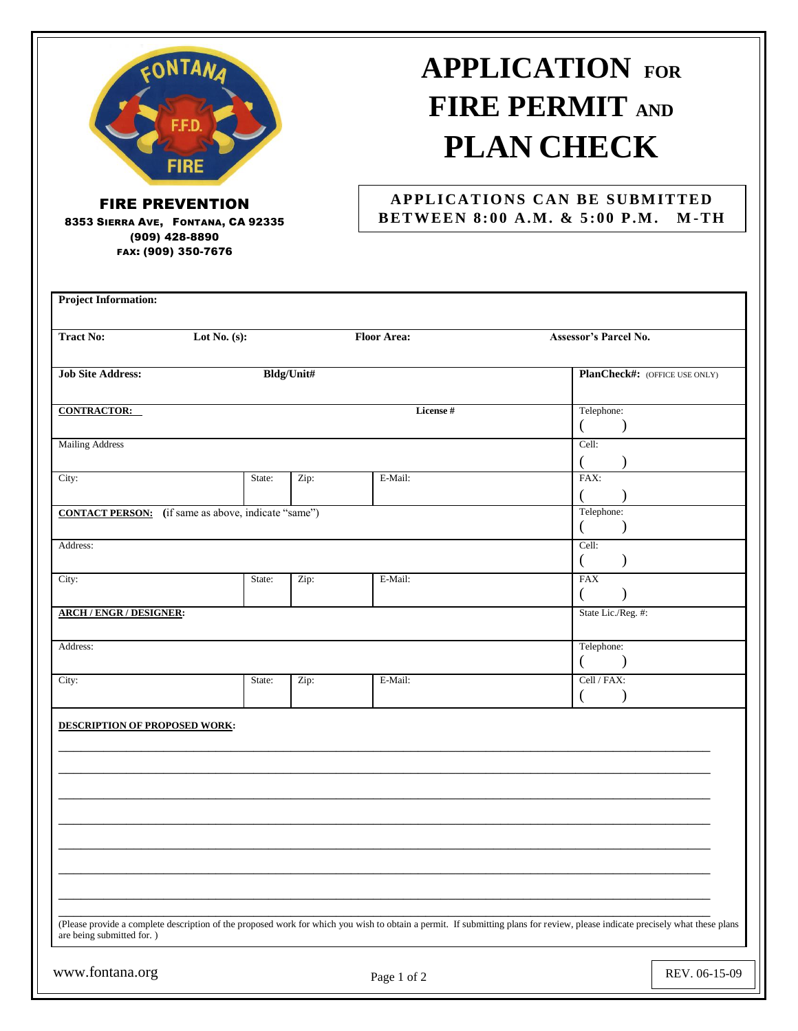

8353 SIERRA AVE, FONTANA, CA 92335 (909) 428-8890 FAX: (909) 350-7676

## **APPLICATION FOR FIRE PERMIT AND PLAN CHECK**

## **APPLICATIONS CAN BE SUBMITTED B ET WEE N 8: 00 A.M . & 5 :00 P .M . M -TH**

| <b>Tract No:</b>                                           | Lot No. $(s)$ :                     |            | <b>Floor Area:</b> | Assessor's Parcel No.                                                                                                                                                         |
|------------------------------------------------------------|-------------------------------------|------------|--------------------|-------------------------------------------------------------------------------------------------------------------------------------------------------------------------------|
| <b>Job Site Address:</b>                                   |                                     | Bldg/Unit# |                    | PlanCheck#: (OFFICE USE ONLY)                                                                                                                                                 |
| <b>CONTRACTOR:</b>                                         |                                     |            | License #          | Telephone:<br>$\left($<br>$\mathcal{E}$                                                                                                                                       |
| <b>Mailing Address</b>                                     |                                     |            |                    | Cell:                                                                                                                                                                         |
| City:                                                      | State:                              | Zip:       | E-Mail:            | FAX:                                                                                                                                                                          |
| <b>CONTACT PERSON:</b> (if same as above, indicate "same") | Telephone:<br>$\left($<br>$\lambda$ |            |                    |                                                                                                                                                                               |
| Address:                                                   |                                     |            |                    | Cell:<br>$\mathcal{E}$<br>$\left($                                                                                                                                            |
| City:                                                      | State:                              | Zip:       | E-Mail:            | <b>FAX</b><br>$\lambda$<br>€                                                                                                                                                  |
| <b>ARCH / ENGR / DESIGNER:</b>                             |                                     |            |                    | State Lic./Reg. #:                                                                                                                                                            |
| Address:                                                   |                                     |            |                    | Telephone:<br>$\left($<br>$\lambda$                                                                                                                                           |
| City:                                                      | State:                              | Zip:       | E-Mail:            | Cell / FAX:                                                                                                                                                                   |
| DESCRIPTION OF PROPOSED WORK:                              |                                     |            |                    |                                                                                                                                                                               |
|                                                            |                                     |            |                    |                                                                                                                                                                               |
|                                                            |                                     |            |                    |                                                                                                                                                                               |
|                                                            |                                     |            |                    |                                                                                                                                                                               |
|                                                            |                                     |            |                    |                                                                                                                                                                               |
|                                                            |                                     |            |                    |                                                                                                                                                                               |
|                                                            |                                     |            |                    | (Please provide a complete description of the proposed work for which you wish to obtain a permit. If submitting plans for review, please indicate precisely what these plans |